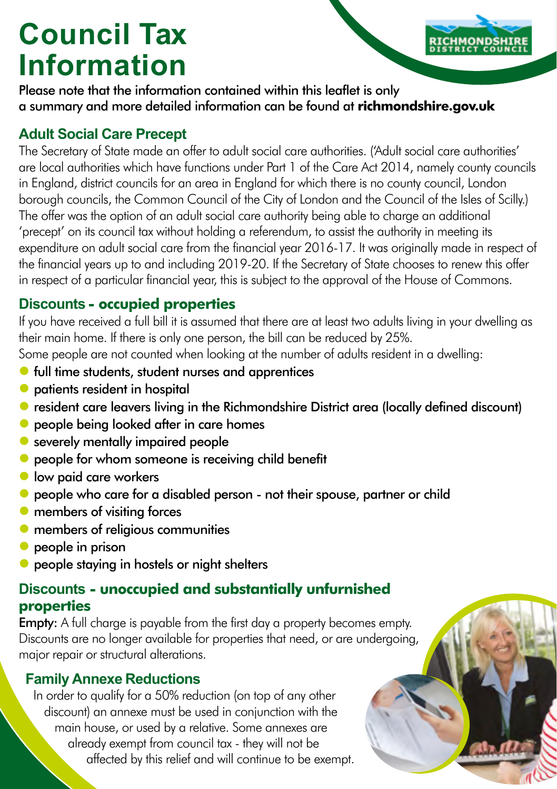# **Council Tax Information**

Please note that the information contained within this leaflet is only a summary and more detailed information can be found at **richmondshire.gov.uk**

# **Adult Social Care Precept**

The Secretary of State made an offer to adult social care authorities. ('Adult social care authorities' are local authorities which have functions under Part 1 of the Care Act 2014, namely county councils in England, district councils for an area in England for which there is no county council, London borough councils, the Common Council of the City of London and the Council of the Isles of Scilly.) The offer was the option of an adult social care authority being able to charge an additional 'precept' on its council tax without holding a referendum, to assist the authority in meeting its expenditure on adult social care from the financial year 2016-17. It was originally made in respect of the financial years up to and including 2019-20. If the Secretary of State chooses to renew this offer in respect of a particular financial year, this is subject to the approval of the House of Commons.

# **Discounts - occupied properties**

If you have received a full bill it is assumed that there are at least two adults living in your dwelling as their main home. If there is only one person, the bill can be reduced by 25%.

Some people are not counted when looking at the number of adults resident in a dwelling:

- **•** full time students, student nurses and apprentices
- **O** patients resident in hospital
- resident care leavers living in the Richmondshire District area (locally defined discount)
- **•** people being looked after in care homes
- severely mentally impaired people
- **•** people for whom someone is receiving child benefit
- **low paid care workers**
- people who care for a disabled person not their spouse, partner or child
- **•** members of visiting forces
- **O** members of religious communities
- **•** people in prison
- people staying in hostels or night shelters

# **Discounts - unoccupied and substantially unfurnished properties**

**Empty:** A full charge is payable from the first day a property becomes empty. Discounts are no longer available for properties that need, or are undergoing, major repair or structural alterations.

# **Family Annexe Reductions**

In order to qualify for a 50% reduction (on top of any other discount) an annexe must be used in conjunction with the main house, or used by a relative. Some annexes are already exempt from council tax - they will not be affected by this relief and will continue to be exempt.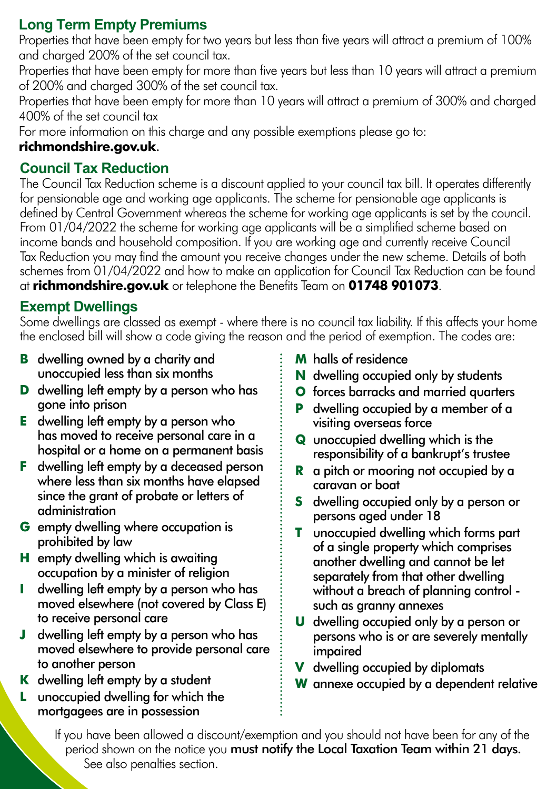# **Long Term Empty Premiums**

Properties that have been empty for two years but less than five years will attract a premium of 100% and charged 200% of the set council tax.

Properties that have been empty for more than five years but less than 10 years will attract a premium of 200% and charged 300% of the set council tax.

Properties that have been empty for more than 10 years will attract a premium of 300% and charged 400% of the set council tax

For more information on this charge and any possible exemptions please go to:

#### **richmondshire.gov.uk**.

## **Council Tax Reduction**

The Council Tax Reduction scheme is a discount applied to your council tax bill. It operates differently for pensionable age and working age applicants. The scheme for pensionable age applicants is defined by Central Government whereas the scheme for working age applicants is set by the council. From 01/04/2022 the scheme for working age applicants will be a simplified scheme based on income bands and household composition. If you are working age and currently receive Council Tax Reduction you may find the amount you receive changes under the new scheme. Details of both schemes from 01/04/2022 and how to make an application for Council Tax Reduction can be found at **richmondshire.gov.uk** or telephone the Benefits Team on **01748 901073**.

# **Exempt Dwellings**

Some dwellings are classed as exempt - where there is no council tax liability. If this affects your home the enclosed bill will show a code giving the reason and the period of exemption. The codes are:

- **B** dwelling owned by a charity and unoccupied less than six months
- **D** dwelling left empty by a person who has gone into prison
- **E** dwelling left empty by a person who has moved to receive personal care in a hospital or a home on a permanent basis
- **F** dwelling left empty by a deceased person where less than six months have elapsed since the grant of probate or letters of administration
- **G** empty dwelling where occupation is prohibited by law
- **H** empty dwelling which is awaiting occupation by a minister of religion
- **I** dwelling left empty by a person who has moved elsewhere (not covered by Class E) to receive personal care
- **J** dwelling left empty by a person who has moved elsewhere to provide personal care to another person
- **K** dwelling left empty by a student
- **L** unoccupied dwelling for which the mortgagees are in possession
- **M** halls of residence
- **N** dwelling occupied only by students
- **O** forces barracks and married quarters
- **P** dwelling occupied by a member of a visiting overseas force
- **Q** unoccupied dwelling which is the responsibility of a bankrupt's trustee
- **R** a pitch or mooring not occupied by a caravan or boat
- **S** dwelling occupied only by a person or persons aged under 18
- **T** unoccupied dwelling which forms part of a single property which comprises another dwelling and cannot be let separately from that other dwelling without a breach of planning control such as granny annexes
- **U** dwelling occupied only by a person or persons who is or are severely mentally impaired
- **V** dwelling occupied by diplomats
- **W** annexe occupied by a dependent relative

If you have been allowed a discount/exemption and you should not have been for any of the period shown on the notice you must notify the Local Taxation Team within 21 days. See also penalties section.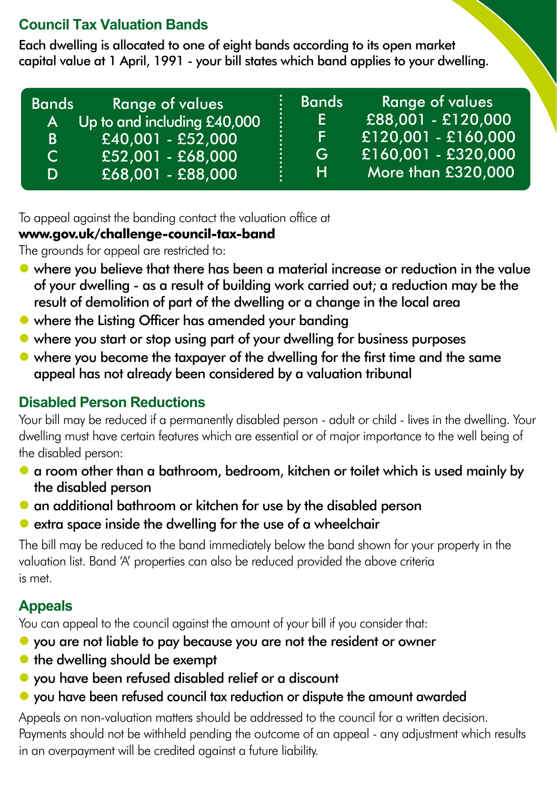# **Council Tax Valuation Bands**

Each dwelling is allocated to one of eight bands according to its open market capital value at 1 April, 1991 - your bill states which band applies to your dwelling.

| <b>Bands</b> | <b>Range of values</b>      | <b>Bands</b> | Range of values     |
|--------------|-----------------------------|--------------|---------------------|
| <b>A</b>     | Up to and including £40,000 | E.           | £88,001 - £120,000  |
| B.           | $E40,001 - E52,000$         | F.           | £120,001 - £160,000 |
| C.           | E52,001 - £68,000           | G            | £160,001 - £320,000 |
| D            | £68,001 - £88,000           | н            | More than £320,000  |

To appeal against the banding contact the valuation office at

#### **www.gov.uk/challenge-council-tax-band**

The grounds for appeal are restricted to:

- where you believe that there has been a material increase or reduction in the value of your dwelling - as a result of building work carried out; a reduction may be the result of demolition of part of the dwelling or a change in the local area
- where the Listing Officer has amended your banding
- where you start or stop using part of your dwelling for business purposes
- where you become the taxpayer of the dwelling for the first time and the same appeal has not already been considered by a valuation tribunal

# **Disabled Person Reductions**

Your bill may be reduced if a permanently disabled person - adult or child - lives in the dwelling. Your dwelling must have certain features which are essential or of major importance to the well being of the disabled person:

- a room other than a bathroom, bedroom, kitchen or toilet which is used mainly by the disabled person
- an additional bathroom or kitchen for use by the disabled person
- $\bullet$  extra space inside the dwelling for the use of a wheelchair

The bill may be reduced to the band immediately below the band shown for your property in the valuation list. Band 'A' properties can also be reduced provided the above criteria is met.

# **Appeals**

You can appeal to the council against the amount of your bill if you consider that:

- you are not liable to pay because you are not the resident or owner
- $\bullet$  the dwelling should be exempt
- you have been refused disabled relief or a discount
- you have been refused council tax reduction or dispute the amount awarded

Appeals on non-valuation matters should be addressed to the council for a written decision. Payments should not be withheld pending the outcome of an appeal - any adjustment which results in an overpayment will be credited against a future liability.